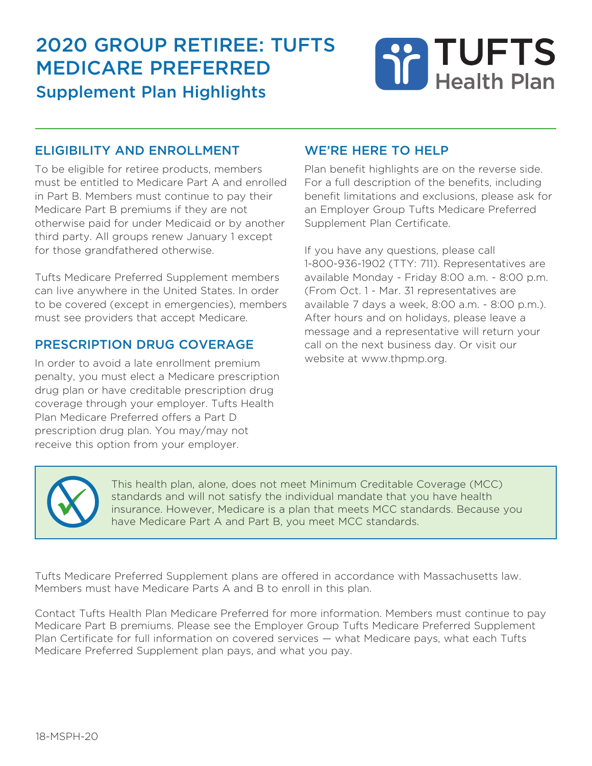# 2020 group retiree: tuFts medicare preFerred Supplement Plan Highlights

# **TUFTS Health Plan**

#### eligibility and enrollment

To be eligible for retiree products, members must be entitled to Medicare Part A and enrolled in Part B. Members must continue to pay their Medicare Part B premiums if they are not otherwise paid for under Medicaid or by another third party. All groups renew January 1 except for those grandfathered otherwise.

Tufts Medicare Preferred Supplement members can live anywhere in the United States. In order to be covered (except in emergencies), members must see providers that accept Medicare.

#### prescription drug coverage

In order to avoid a late enrollment premium penalty, you must elect a Medicare prescription drug plan or have creditable prescription drug coverage through your employer. Tufts Health Plan Medicare Preferred offers a Part D prescription drug plan. You may/may not receive this option from your employer.

#### we're here to help

Plan benefit highlights are on the reverse side. For a full description of the benefits, including benefit limitations and exclusions, please ask for an Employer Group Tufts Medicare Preferred Supplement Plan Certificate.

If you have any questions, please call 1-800-936-1902 (TTY: 711). Representatives are available Monday - Friday 8:00 a.m. - 8:00 p.m. (From Oct. 1 - Mar. 31 representatives are available 7 days a week, 8:00 a.m. - 8:00 p.m.). After hours and on holidays, please leave a message and a representative will return your call on the next business day. Or visit our website at www.thpmp.org.



 This health plan, alone, does not meet Minimum Creditable Coverage (MCC) standards and will not satisfy the individual mandate that you have health insurance. However, Medicare is a plan that meets MCC standards. Because you have Medicare Part A and Part B, you meet MCC standards.

Tufts Medicare Preferred Supplement plans are offered in accordance with Massachusetts law. Members must have Medicare Parts A and B to enroll in this plan.

Contact Tufts Health Plan Medicare Preferred for more information. Members must continue to pay Medicare Part B premiums. Please see the Employer Group Tufts Medicare Preferred Supplement Plan Certificate for full information on covered services — what Medicare pays, what each Tufts Medicare Preferred Supplement plan pays, and what you pay.